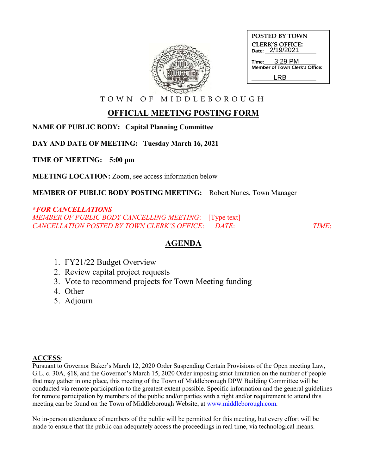

| <b>POSTED BY TOWN</b>                     |                         |
|-------------------------------------------|-------------------------|
| <b>CLERK'S OFFICE:</b><br>Date: 2/19/2021 |                         |
|                                           | $Time: 3:29 \text{ PM}$ |
| Member of Town Clerk's Office:            |                         |
| I RR                                      |                         |

T O W N O F M I D D L E B O R O U G H

# **OFFICIAL MEETING POSTING FORM**

**NAME OF PUBLIC BODY: Capital Planning Committee**

**DAY AND DATE OF MEETING: Tuesday March 16, 2021**

**TIME OF MEETING: 5:00 pm**

**MEETING LOCATION:** Zoom, see access information below

**MEMBER OF PUBLIC BODY POSTING MEETING:** Robert Nunes, Town Manager

## **\****FOR CANCELLATIONS*

*MEMBER OF PUBLIC BODY CANCELLING MEETING*: [Type text] *CANCELLATION POSTED BY TOWN CLERK'S OFFICE*: *DATE*: *TIME*:

# **AGENDA**

- 1. FY21/22 Budget Overview
- 2. Review capital project requests
- 3. Vote to recommend projects for Town Meeting funding
- 4. Other
- 5. Adjourn

## **ACCESS**:

Pursuant to Governor Baker's March 12, 2020 Order Suspending Certain Provisions of the Open meeting Law, G.L. c. 30A, §18, and the Governor's March 15, 2020 Order imposing strict limitation on the number of people that may gather in one place, this meeting of the Town of Middleborough DPW Building Committee will be conducted via remote participation to the greatest extent possible. Specific information and the general guidelines for remote participation by members of the public and/or parties with a right and/or requirement to attend this meeting can be found on the Town of Middleborough Website, at www.middleborough.com.

No in-person attendance of members of the public will be permitted for this meeting, but every effort will be made to ensure that the public can adequately access the proceedings in real time, via technological means.